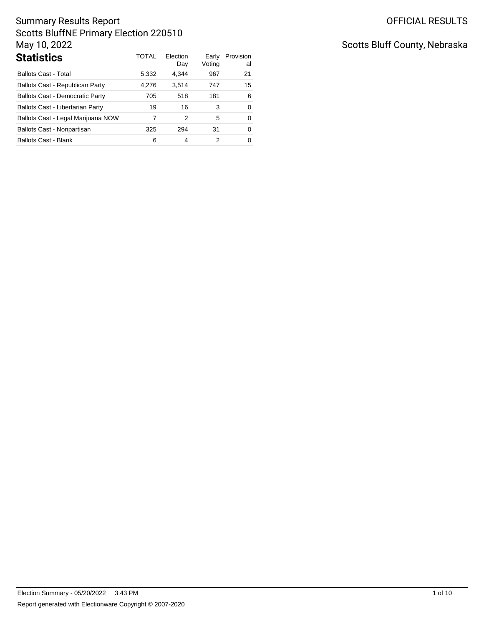| <b>Statistics</b>                      | TOTAL | Election<br>Day | Early<br>Voting | Provision<br>al |
|----------------------------------------|-------|-----------------|-----------------|-----------------|
| Ballots Cast - Total                   | 5,332 | 4.344           | 967             | 21              |
| Ballots Cast - Republican Party        | 4.276 | 3.514           | 747             | 15              |
| <b>Ballots Cast - Democratic Party</b> | 705   | 518             | 181             | 6               |
| Ballots Cast - Libertarian Party       | 19    | 16              | 3               | $\Omega$        |
| Ballots Cast - Legal Marijuana NOW     | 7     | 2               | 5               | 0               |
| Ballots Cast - Nonpartisan             | 325   | 294             | 31              | 0               |
| <b>Ballots Cast - Blank</b>            | 6     | 4               | 2               | 0               |

# Scotts Bluff County, Nebraska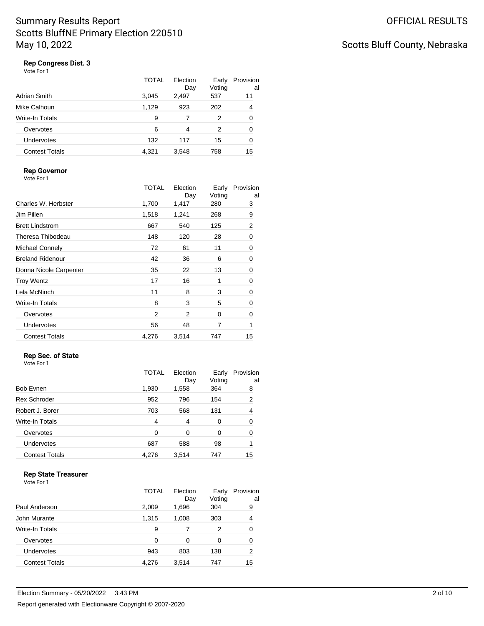# Scotts Bluff County, Nebraska

## **Rep Congress Dist. 3**

|                       | TOTAL | Election<br>Day | Early<br>Voting | Provision<br>al |
|-----------------------|-------|-----------------|-----------------|-----------------|
| Adrian Smith          | 3.045 | 2,497           | 537             | 11              |
| Mike Calhoun          | 1,129 | 923             | 202             | 4               |
| Write-In Totals       | 9     |                 | 2               | 0               |
| Overvotes             | 6     | 4               | 2               | 0               |
| <b>Undervotes</b>     | 132   | 117             | 15              | 0               |
| <b>Contest Totals</b> | 4.321 | 3.548           | 758             | 15              |

### **Rep Governor**

Vote For 1

|                         | <b>TOTAL</b> | Election<br>Day | Early<br>Voting | Provision<br>al |
|-------------------------|--------------|-----------------|-----------------|-----------------|
| Charles W. Herbster     | 1,700        | 1,417           | 280             | 3               |
| Jim Pillen              | 1,518        | 1,241           | 268             | 9               |
| <b>Brett Lindstrom</b>  | 667          | 540             | 125             | 2               |
| Theresa Thibodeau       | 148          | 120             | 28              | 0               |
| Michael Connely         | 72           | 61              | 11              | 0               |
| <b>Breland Ridenour</b> | 42           | 36              | 6               | 0               |
| Donna Nicole Carpenter  | 35           | 22              | 13              | 0               |
| <b>Troy Wentz</b>       | 17           | 16              | 1               | 0               |
| Lela McNinch            | 11           | 8               | 3               | 0               |
| Write-In Totals         | 8            | 3               | 5               | 0               |
| Overvotes               | 2            | 2               | $\Omega$        | 0               |
| <b>Undervotes</b>       | 56           | 48              | 7               | 1               |
| <b>Contest Totals</b>   | 4,276        | 3,514           | 747             | 15              |

### **Rep Sec. of State**

| Vote For 1 |  |
|------------|--|

|                        | <b>TOTAL</b>   | Election<br>Day | Early<br>Voting | Provision<br>al |
|------------------------|----------------|-----------------|-----------------|-----------------|
| <b>Bob Evnen</b>       | 1,930          | 1,558           | 364             | 8               |
| <b>Rex Schroder</b>    | 952            | 796             | 154             | 2               |
| Robert J. Borer        | 703            | 568             | 131             | 4               |
| <b>Write-In Totals</b> | $\overline{4}$ | 4               | 0               | 0               |
| Overvotes              | 0              | 0               | 0               | 0               |
| Undervotes             | 687            | 588             | 98              |                 |
| <b>Contest Totals</b>  | 4,276          | 3,514           | 747             | 15              |

### **Rep State Treasurer**

|                        | TOTAL    | Flection<br>Day | Early<br>Voting | Provision<br>al |
|------------------------|----------|-----------------|-----------------|-----------------|
| Paul Anderson          | 2,009    | 1,696           | 304             | 9               |
| John Murante           | 1,315    | 1,008           | 303             | 4               |
| <b>Write-In Totals</b> | 9        |                 | 2               | 0               |
| Overvotes              | $\Omega$ | 0               | 0               | 0               |
| Undervotes             | 943      | 803             | 138             | 2               |
| <b>Contest Totals</b>  | 4.276    | 3,514           | 747             | 15              |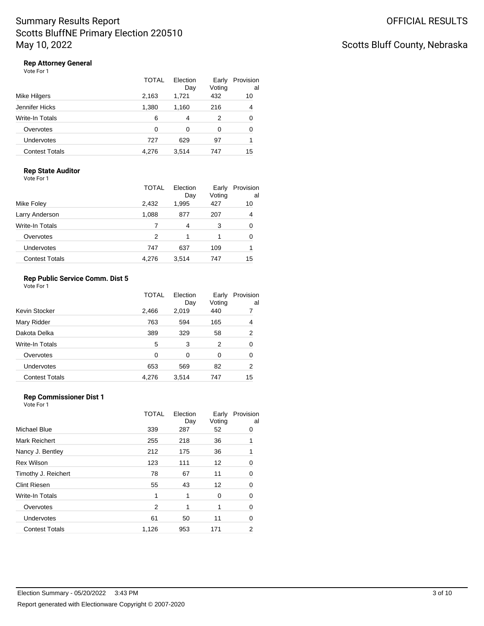# Scotts Bluff County, Nebraska

### **Rep Attorney General**

|                        | TOTAL | Election<br>Day | Early<br>Voting | Provision<br>al |
|------------------------|-------|-----------------|-----------------|-----------------|
| Mike Hilgers           | 2,163 | 1,721           | 432             | 10              |
| Jennifer Hicks         | 1,380 | 1,160           | 216             | 4               |
| <b>Write-In Totals</b> | 6     | 4               | 2               | 0               |
| Overvotes              | 0     | $\Omega$        | 0               | 0               |
| Undervotes             | 727   | 629             | 97              |                 |
| <b>Contest Totals</b>  | 4.276 | 3.514           | 747             | 15              |

#### **Rep State Auditor** Vote For 1

| Mike Foley            | TOTAL<br>2,432 | Election<br>Day<br>1,995 | Early<br>Voting<br>427 | Provision<br>al<br>10 |
|-----------------------|----------------|--------------------------|------------------------|-----------------------|
| Larry Anderson        | 1,088          | 877                      | 207                    | 4                     |
| Write-In Totals       |                | 4                        | 3                      | 0                     |
| Overvotes             | 2              | 1                        |                        | 0                     |
| Undervotes            | 747            | 637                      | 109                    |                       |
| <b>Contest Totals</b> | 4.276          | 3,514                    | 747                    | 15                    |

### **Rep Public Service Comm. Dist 5**

Vote For 1

|                       | <b>TOTAL</b> | Election<br>Day | Early<br>Voting | Provision<br>al |
|-----------------------|--------------|-----------------|-----------------|-----------------|
| Kevin Stocker         | 2,466        | 2,019           | 440             |                 |
| Mary Ridder           | 763          | 594             | 165             | 4               |
| Dakota Delka          | 389          | 329             | 58              | 2               |
| Write-In Totals       | 5            | 3               | 2               | 0               |
| Overvotes             | 0            | 0               | 0               | 0               |
| <b>Undervotes</b>     | 653          | 569             | 82              | 2               |
| <b>Contest Totals</b> | 4.276        | 3.514           | 747             | 15              |

## **Rep Commissioner Dist 1**

|                       | <b>TOTAL</b> | Election<br>Day | Early<br>Voting | Provision<br>al |
|-----------------------|--------------|-----------------|-----------------|-----------------|
| Michael Blue          | 339          | 287             | 52              | 0               |
| Mark Reichert         | 255          | 218             | 36              |                 |
| Nancy J. Bentley      | 212          | 175             | 36              |                 |
| <b>Rex Wilson</b>     | 123          | 111             | 12              | 0               |
| Timothy J. Reichert   | 78           | 67              | 11              | 0               |
| <b>Clint Riesen</b>   | 55           | 43              | 12              | 0               |
| Write-In Totals       | 1            | 1               | 0               | 0               |
| Overvotes             | 2            | 1               | 1               | 0               |
| Undervotes            | 61           | 50              | 11              | 0               |
| <b>Contest Totals</b> | 1,126        | 953             | 171             | 2               |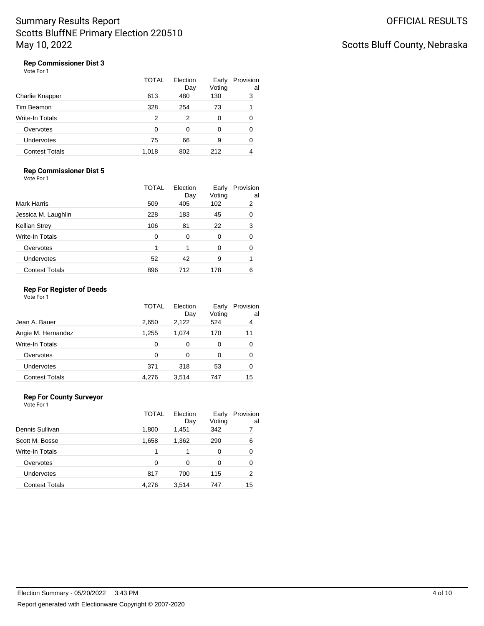# Scotts Bluff County, Nebraska

### **Rep Commissioner Dist 3**

|                       | <b>TOTAL</b> | Election<br>Day | Early<br>Voting | Provision<br>al |
|-----------------------|--------------|-----------------|-----------------|-----------------|
| Charlie Knapper       | 613          | 480             | 130             | 3               |
| Tim Beamon            | 328          | 254             | 73              |                 |
| Write-In Totals       | 2            | 2               | 0               | 0               |
| Overvotes             | 0            | 0               | O               | 0               |
| Undervotes            | 75           | 66              | 9               | 0               |
| <b>Contest Totals</b> | 1.018        | 802             | 212             | 4               |

### **Rep Commissioner Dist 5**

Vote For 1

|                       | TOTAL | Election<br>Day | Early<br>Voting | Provision<br>al |
|-----------------------|-------|-----------------|-----------------|-----------------|
| Mark Harris           | 509   | 405             | 102             | 2               |
| Jessica M. Laughlin   | 228   | 183             | 45              | 0               |
| Kellian Strey         | 106   | 81              | 22              | 3               |
| Write-In Totals       | 0     | 0               | 0               | 0               |
| Overvotes             |       | 1               | 0               | 0               |
| <b>Undervotes</b>     | 52    | 42              | 9               |                 |
| <b>Contest Totals</b> | 896   | 712             | 178             | 6               |

#### **Rep For Register of Deeds**

Vote For 1

|                       | TOTAL    | Election<br>Day | Early<br>Voting | Provision<br>al |
|-----------------------|----------|-----------------|-----------------|-----------------|
| Jean A. Bauer         | 2.650    | 2,122           | 524             | 4               |
| Angie M. Hernandez    | 1.255    | 1.074           | 170             | 11              |
| Write-In Totals       | 0        | 0               | 0               | 0               |
| Overvotes             | $\Omega$ | 0               | 0               | 0               |
| Undervotes            | 371      | 318             | 53              | 0               |
| <b>Contest Totals</b> | 4,276    | 3.514           | 747             | 15              |

### **Rep For County Surveyor**

|                       | TOTAL | Election<br>Day | Early<br>Voting | Provision<br>al |
|-----------------------|-------|-----------------|-----------------|-----------------|
| Dennis Sullivan       | 1,800 | 1,451           | 342             |                 |
| Scott M. Bosse        | 1.658 | 1.362           | 290             | 6               |
| Write-In Totals       | 1     |                 | 0               | 0               |
| Overvotes             | 0     | 0               | 0               | 0               |
| Undervotes            | 817   | 700             | 115             | 2               |
| <b>Contest Totals</b> | 4.276 | 3,514           | 747             | 15              |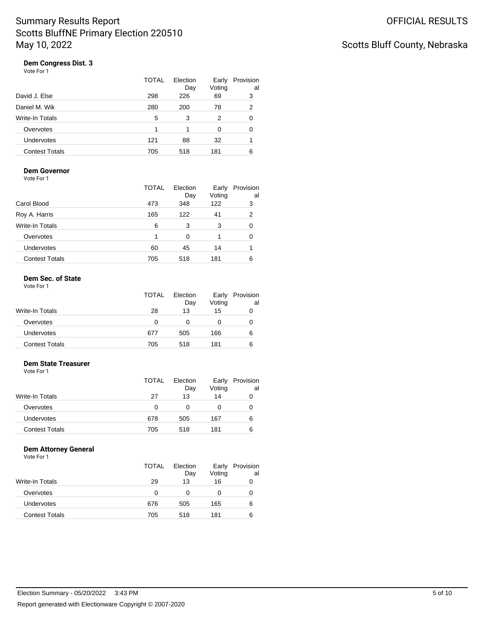# Scotts Bluff County, Nebraska

## **Dem Congress Dist. 3**

| Vote For 1 |  |  |
|------------|--|--|
|------------|--|--|

|                       | TOTAL | Election<br>Day | Early<br>Voting | Provision<br>al |
|-----------------------|-------|-----------------|-----------------|-----------------|
| David J. Else         | 298   | 226             | 69              | 3               |
| Daniel M. Wik         | 280   | 200             | 78              | 2               |
| Write-In Totals       | 5     | 3               | 2               | 0               |
| Overvotes             |       |                 | 0               | 0               |
| <b>Undervotes</b>     | 121   | 88              | 32              |                 |
| <b>Contest Totals</b> | 705   | 518             | 181             | 6               |

#### **Dem Governor** Vote For 1

|                        | TOTAL | Election<br>Day | Early<br>Voting | Provision<br>al |
|------------------------|-------|-----------------|-----------------|-----------------|
| Carol Blood            | 473   | 348             | 122             | 3               |
| Roy A. Harris          | 165   | 122             | 41              | 2               |
| <b>Write-In Totals</b> | 6     | 3               | 3               | 0               |
| Overvotes              |       | 0               |                 | 0               |
| Undervotes             | 60    | 45              | 14              |                 |
| <b>Contest Totals</b>  | 705   | 518             | 181             | 6               |

### **Dem Sec. of State**

| Vote For 1 |  |
|------------|--|
|            |  |

| TOTAL<br>Election<br>Early<br>Voting<br>Day | Provision<br>al |
|---------------------------------------------|-----------------|
| Write-In Totals<br>28<br>13<br>15           | O               |
| Overvotes<br>0                              | O               |
| Undervotes<br>166<br>677<br>505             | 6               |
| <b>Contest Totals</b><br>705<br>181<br>518  | 6               |

### **Dem State Treasurer**

Vote For 1

|                        | TOTAL | Election<br>Day | Early<br>Voting | Provision<br>al |
|------------------------|-------|-----------------|-----------------|-----------------|
| <b>Write-In Totals</b> | 27    | 13              | 14              | 0               |
| Overvotes              | 0     |                 |                 | O               |
| <b>Undervotes</b>      | 678   | 505             | 167             | 6               |
| <b>Contest Totals</b>  | 705   | 518             | 181             | 6               |

#### **Dem Attorney General**

|                       | TOTAL | Election  | Early        | Provision |
|-----------------------|-------|-----------|--------------|-----------|
| Write-In Totals       | 29    | Day<br>13 | Voting<br>16 | al<br>0   |
|                       |       |           |              |           |
| Overvotes             | 0     |           |              | 0         |
| <b>Undervotes</b>     | 676   | 505       | 165          | 6         |
| <b>Contest Totals</b> | 705   | 518       | 181          | 6         |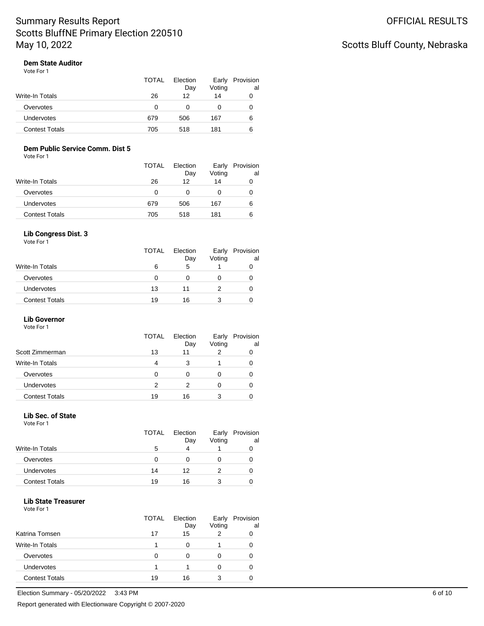# Scotts Bluff County, Nebraska

# **Dem State Auditor**

| Vote For 1 |  |
|------------|--|
|------------|--|

|                   | TOTAL | Election<br>Day | Early<br>Voting | Provision<br>al |
|-------------------|-------|-----------------|-----------------|-----------------|
| Write-In Totals   | 26    | 12              | 14              | 0               |
| Overvotes         | 0     |                 |                 | O               |
| <b>Undervotes</b> | 679   | 506             | 167             | 6               |
| Contest Totals    | 705   | 518             | 181             | 6               |

### **Dem Public Service Comm. Dist 5**

Vote For 1

|                   | <b>TOTAL</b> | Election<br>Day | Early<br>Voting | Provision<br>al |
|-------------------|--------------|-----------------|-----------------|-----------------|
| Write-In Totals   | 26           | 12              | 14              | 0               |
| Overvotes         | 0            |                 |                 | O               |
| <b>Undervotes</b> | 679          | 506             | 167             | 6               |
| Contest Totals    | 705          | 518             | 181             | 6               |

#### **Lib Congress Dist. 3**

Vote For 1

|                       | <b>TOTAL</b> | Election<br>Day | Early<br>Voting | Provision<br>al |
|-----------------------|--------------|-----------------|-----------------|-----------------|
| Write-In Totals       | 6            | 5               |                 |                 |
| Overvotes             | O            |                 |                 |                 |
| <b>Undervotes</b>     | 13           | 11              |                 |                 |
| <b>Contest Totals</b> | 19           | 16              | 3               |                 |

### **Lib Governor**

Vote For 1

|                        | TOTAL                  | Election<br>Day | Early<br>Voting | Provision<br>al |
|------------------------|------------------------|-----------------|-----------------|-----------------|
| Scott Zimmerman        | 13                     | 11              |                 |                 |
| <b>Write-In Totals</b> | $\boldsymbol{\Lambda}$ | 3               |                 |                 |
| Overvotes              | 0                      | 0               |                 |                 |
| <b>Undervotes</b>      | 2                      | 2               | 0               |                 |
| <b>Contest Totals</b>  | 19                     | 16              | 3               |                 |

#### **Lib Sec. of State**

Vote For 1

|                       | <b>TOTAL</b> | Election<br>Day | Early<br>Voting | Provision<br>al |
|-----------------------|--------------|-----------------|-----------------|-----------------|
| Write-In Totals       | 5            | 4               |                 |                 |
| Overvotes             | 0            |                 |                 |                 |
| <b>Undervotes</b>     | 14           | 12              |                 |                 |
| <b>Contest Totals</b> | 19           | 16              |                 |                 |

#### **Lib State Treasurer**

|                        | TOTAL | Election<br>Day | Early<br>Voting | Provision<br>al |
|------------------------|-------|-----------------|-----------------|-----------------|
| Katrina Tomsen         | 17    | 15              |                 |                 |
| <b>Write-In Totals</b> |       | Ω               |                 |                 |
| Overvotes              | O     |                 |                 |                 |
| <b>Undervotes</b>      |       |                 |                 |                 |
| <b>Contest Totals</b>  | 19    | 16              |                 |                 |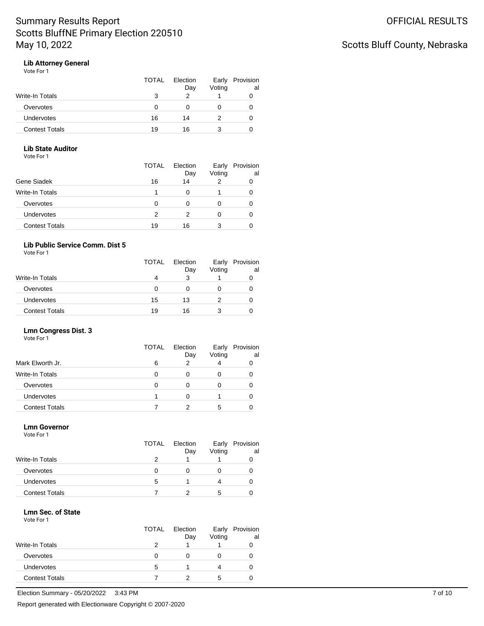# Scotts Bluff County, Nebraska

### **Lib Attorney General**

| Vote For 1 |
|------------|
|------------|

|                       | TOTAL | Election<br>Day | Early<br>Voting | Provision<br>al |
|-----------------------|-------|-----------------|-----------------|-----------------|
| Write-In Totals       | з     |                 |                 |                 |
| Overvotes             |       |                 |                 |                 |
| <b>Undervotes</b>     | 16    | 14              |                 | O               |
| <b>Contest Totals</b> | 19    | 16              |                 |                 |

### **Lib State Auditor**

Vote For 1

|                       | TOTAL | Election<br>Day | Early<br>Voting | Provision<br>al |
|-----------------------|-------|-----------------|-----------------|-----------------|
| Gene Siadek           | 16    | 14              | 2               |                 |
| Write-In Totals       |       |                 |                 |                 |
| Overvotes             | 0     |                 | 0               |                 |
| <b>Undervotes</b>     | 2     |                 |                 |                 |
| <b>Contest Totals</b> | 19    | 16              | 3               |                 |

### **Lib Public Service Comm. Dist 5**

Vote For 1

|                        | <b>TOTAL</b> | Election<br>Day | Early<br>Voting | Provision<br>al |
|------------------------|--------------|-----------------|-----------------|-----------------|
| <b>Write-In Totals</b> |              | 3               |                 |                 |
| Overvotes              | 0            |                 |                 |                 |
| Undervotes             | 15           | 13              |                 |                 |
| <b>Contest Totals</b>  | 19           | 16              |                 |                 |

### **Lmn Congress Dist. 3**

| Vote For 1 |  |  |
|------------|--|--|
|            |  |  |

|                       | <b>TOTAL</b> | Election<br>Day | Early<br>Voting | Provision<br>al |
|-----------------------|--------------|-----------------|-----------------|-----------------|
| Mark Elworth Jr.      | 6            | 2               |                 |                 |
| Write-In Totals       | O            | Ω               |                 |                 |
| Overvotes             | O            |                 |                 |                 |
| Undervotes            |              |                 |                 |                 |
| <b>Contest Totals</b> |              | າ               | 5               |                 |
|                       |              |                 |                 |                 |

### **Lmn Governor**

Vote For 1

|                        | <b>TOTAL</b> | Election<br>Day | Early<br>Voting | Provision<br>al |
|------------------------|--------------|-----------------|-----------------|-----------------|
| <b>Write-In Totals</b> |              |                 |                 |                 |
| Overvotes              |              |                 |                 |                 |
| Undervotes             | 5            |                 | 4               |                 |
| <b>Contest Totals</b>  |              |                 | 5               |                 |
|                        |              |                 |                 |                 |

#### **Lmn Sec. of State** Vote For 1

|                       | <b>TOTAL</b> | Election<br>Day | Early<br>Voting | Provision<br>al |
|-----------------------|--------------|-----------------|-----------------|-----------------|
| Write-In Totals       | 2            |                 |                 |                 |
| Overvotes             | O            |                 |                 |                 |
| <b>Undervotes</b>     | 5            |                 |                 |                 |
| <b>Contest Totals</b> |              |                 | 5               |                 |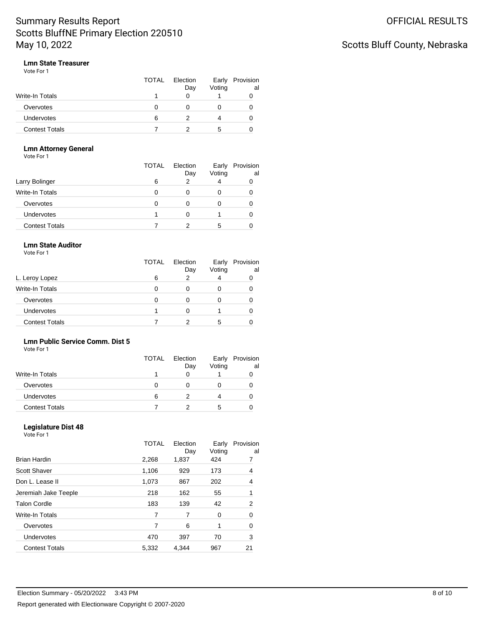# Scotts Bluff County, Nebraska

### **Lmn State Treasurer**

| Vote For 1 |  |
|------------|--|
|------------|--|

|                       | TOTAL | Election<br>Day | Early<br>Voting | Provision<br>al |
|-----------------------|-------|-----------------|-----------------|-----------------|
| Write-In Totals       |       |                 |                 |                 |
| Overvotes             |       |                 |                 |                 |
| Undervotes            | 6     |                 |                 |                 |
| <b>Contest Totals</b> |       |                 | .5              |                 |

### **Lmn Attorney General**

Vote For 1

|                       | TOTAL | Election<br>Day | Early<br>Voting | Provision<br>al |
|-----------------------|-------|-----------------|-----------------|-----------------|
| Larry Bolinger        | 6     | っ               | 4               |                 |
| Write-In Totals       |       |                 | 0               |                 |
| Overvotes             |       |                 |                 |                 |
| <b>Undervotes</b>     |       |                 |                 |                 |
| <b>Contest Totals</b> |       |                 | 5               |                 |

### **Lmn State Auditor**

Vote For 1

|                       | <b>TOTAL</b> | Election<br>Day | Early<br>Voting | Provision<br>al |
|-----------------------|--------------|-----------------|-----------------|-----------------|
| L. Leroy Lopez        | 6            | າ               |                 |                 |
| Write-In Totals       | O            |                 |                 |                 |
| Overvotes             |              |                 |                 |                 |
| <b>Undervotes</b>     |              |                 |                 |                 |
| <b>Contest Totals</b> |              |                 | 5               |                 |

### **Lmn Public Service Comm. Dist 5**

Vote For 1

|                       | <b>TOTAL</b> | Election<br>Day | Early<br>Voting | Provision<br>al |
|-----------------------|--------------|-----------------|-----------------|-----------------|
| Write-In Totals       |              |                 |                 |                 |
| Overvotes             |              |                 |                 |                 |
| <b>Undervotes</b>     | 6            |                 |                 |                 |
| <b>Contest Totals</b> |              |                 | 5               |                 |

### **Legislature Dist 48**

|                       | TOTAL | Election<br>Day | Early<br>Voting | Provision<br>al |
|-----------------------|-------|-----------------|-----------------|-----------------|
| <b>Brian Hardin</b>   | 2,268 | 1,837           | 424             |                 |
| Scott Shaver          | 1,106 | 929             | 173             | 4               |
| Don L. Lease II       | 1,073 | 867             | 202             | 4               |
| Jeremiah Jake Teeple  | 218   | 162             | 55              | 1               |
| <b>Talon Cordle</b>   | 183   | 139             | 42              | 2               |
| Write-In Totals       | 7     | 7               | 0               | 0               |
| Overvotes             | 7     | 6               | 1               | 0               |
| <b>Undervotes</b>     | 470   | 397             | 70              | 3               |
| <b>Contest Totals</b> | 5,332 | 4,344           | 967             | 21              |
|                       |       |                 |                 |                 |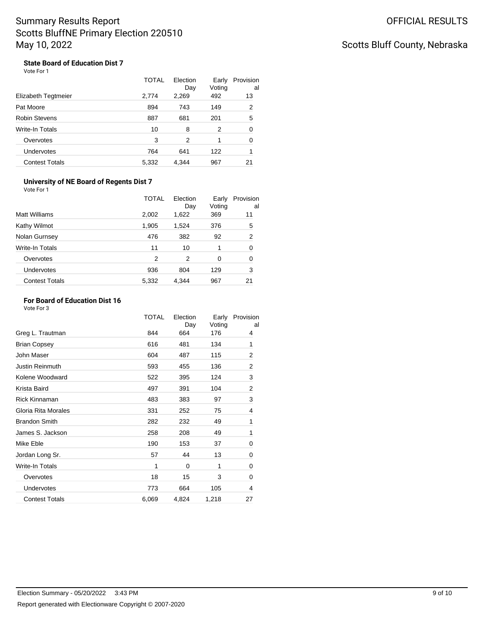# Scotts Bluff County, Nebraska

#### **State Board of Education Dist 7** Vote For 1

|                       | <b>TOTAL</b> | Election<br>Day | Early<br>Voting | Provision<br>al |
|-----------------------|--------------|-----------------|-----------------|-----------------|
| Elizabeth Tegtmeier   | 2,774        | 2,269           | 492             | 13              |
| Pat Moore             | 894          | 743             | 149             | 2               |
| <b>Robin Stevens</b>  | 887          | 681             | 201             | 5               |
| Write-In Totals       | 10           | 8               | 2               | 0               |
| Overvotes             | 3            | 2               | 1               | 0               |
| <b>Undervotes</b>     | 764          | 641             | 122             | 1               |
| <b>Contest Totals</b> | 5.332        | 4.344           | 967             | 21              |

#### **University of NE Board of Regents Dist 7** Vote For 1

|                       | <b>TOTAL</b> | Election<br>Day | Early<br>Voting | Provision<br>al |
|-----------------------|--------------|-----------------|-----------------|-----------------|
| <b>Matt Williams</b>  | 2,002        | 1,622           | 369             | 11              |
| Kathy Wilmot          | 1,905        | 1,524           | 376             | 5               |
| Nolan Gurnsey         | 476          | 382             | 92              | $\overline{2}$  |
| Write-In Totals       | 11           | 10              | 1               | 0               |
| Overvotes             | 2            | 2               | 0               | 0               |
| Undervotes            | 936          | 804             | 129             | 3               |
| <b>Contest Totals</b> | 5,332        | 4.344           | 967             | 21              |

#### **For Board of Education Dist 16**

|                        | TOTAL | Election<br>Day | Early<br>Voting | Provision<br>al |
|------------------------|-------|-----------------|-----------------|-----------------|
| Greg L. Trautman       | 844   | 664             | 176             | 4               |
| <b>Brian Copsey</b>    | 616   | 481             | 134             | 1               |
| John Maser             | 604   | 487             | 115             | 2               |
| <b>Justin Reinmuth</b> | 593   | 455             | 136             | 2               |
| Kolene Woodward        | 522   | 395             | 124             | 3               |
| Krista Baird           | 497   | 391             | 104             | 2               |
| Rick Kinnaman          | 483   | 383             | 97              | 3               |
| Gloria Rita Morales    | 331   | 252             | 75              | 4               |
| <b>Brandon Smith</b>   | 282   | 232             | 49              | 1               |
| James S. Jackson       | 258   | 208             | 49              | 1               |
| Mike Eble              | 190   | 153             | 37              | 0               |
| Jordan Long Sr.        | 57    | 44              | 13              | 0               |
| <b>Write-In Totals</b> | 1     | 0               | 1               | 0               |
| Overvotes              | 18    | 15              | 3               | 0               |
| Undervotes             | 773   | 664             | 105             | 4               |
| <b>Contest Totals</b>  | 6,069 | 4,824           | 1,218           | 27              |